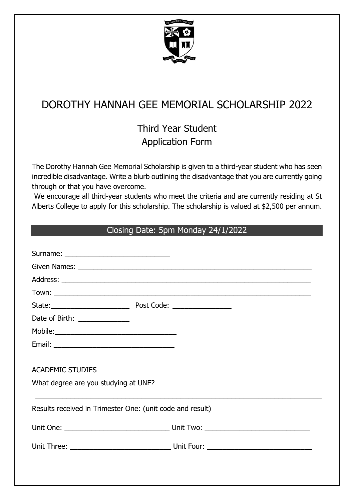

# DOROTHY HANNAH GEE MEMORIAL SCHOLARSHIP 2022

## Third Year Student Application Form

The Dorothy Hannah Gee Memorial Scholarship is given to a third-year student who has seen incredible disadvantage. Write a blurb outlining the disadvantage that you are currently going through or that you have overcome.

We encourage all third-year students who meet the criteria and are currently residing at St Alberts College to apply for this scholarship. The scholarship is valued at \$2,500 per annum.

### Closing Date: 5pm Monday 24/1/2022

| Date of Birth: _____________                              |  |  |  |  |
|-----------------------------------------------------------|--|--|--|--|
|                                                           |  |  |  |  |
|                                                           |  |  |  |  |
|                                                           |  |  |  |  |
| <b>ACADEMIC STUDIES</b>                                   |  |  |  |  |
| What degree are you studying at UNE?                      |  |  |  |  |
|                                                           |  |  |  |  |
| Results received in Trimester One: (unit code and result) |  |  |  |  |
|                                                           |  |  |  |  |
|                                                           |  |  |  |  |
|                                                           |  |  |  |  |
|                                                           |  |  |  |  |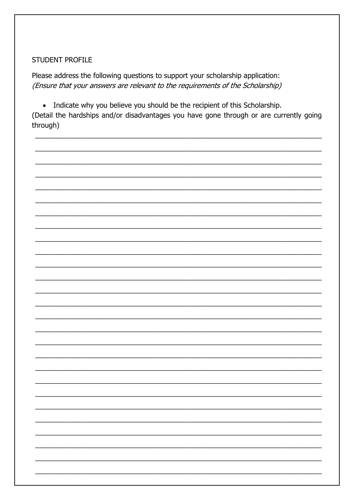#### **STUDENT PROFILE**

Please address the following questions to support your scholarship application: (Ensure that your answers are relevant to the requirements of the Scholarship)

• Indicate why you believe you should be the recipient of this Scholarship.

(Detail the hardships and/or disadvantages you have gone through or are currently going through)

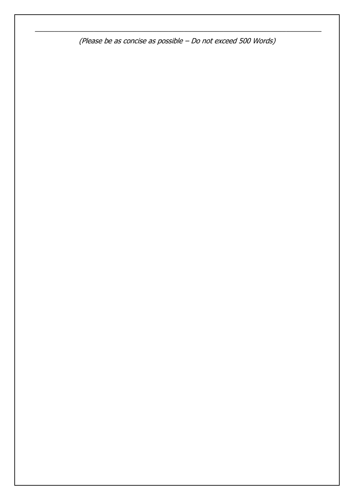(Please be as concise as possible – Do not exceed 500 Words)